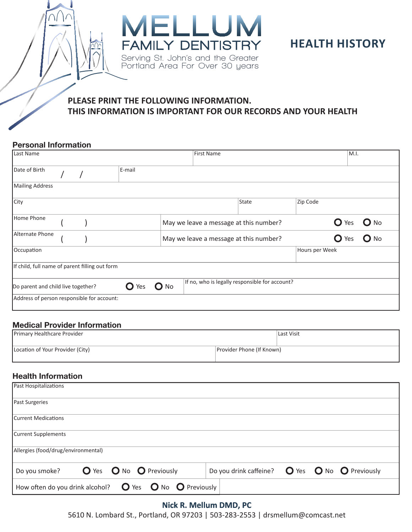



# **PLEASE PRINT THE FOLLOWING INFORMATION. THIS INFORMATION IS IMPORTANT FOR OUR RECORDS AND YOUR HEALTH**

### Personal Information

| Last Name                                      |  |        |        | <b>First Name</b>                              |       |                | M.I.             |                 |
|------------------------------------------------|--|--------|--------|------------------------------------------------|-------|----------------|------------------|-----------------|
| Date of Birth                                  |  | E-mail |        |                                                |       |                |                  |                 |
| <b>Mailing Address</b>                         |  |        |        |                                                |       |                |                  |                 |
| City                                           |  |        |        |                                                | State | Zip Code       |                  |                 |
| Home Phone                                     |  |        |        | May we leave a message at this number?         |       |                | $\mathbf{O}$ Yes | $\mathbf{O}$ No |
| Alternate Phone                                |  |        |        | May we leave a message at this number?         |       |                | $\mathbf{O}$ Yes | $\mathbf{O}$ No |
| Occupation                                     |  |        |        |                                                |       | Hours per Week |                  |                 |
| If child, full name of parent filling out form |  |        |        |                                                |       |                |                  |                 |
| Do parent and child live together?             |  | Yes    | $O$ No | If no, who is legally responsible for account? |       |                |                  |                 |
| Address of person responsible for account:     |  |        |        |                                                |       |                |                  |                 |

#### Medical Provider Information

| Primary Healthcare Provider      |                           | Last Visit |  |
|----------------------------------|---------------------------|------------|--|
|                                  |                           |            |  |
| Location of Your Provider (City) | Provider Phone (If Known) |            |  |
|                                  |                           |            |  |

### Health Information

| Past Hospitalizations                                                           |                                                                           |
|---------------------------------------------------------------------------------|---------------------------------------------------------------------------|
| <b>Past Surgeries</b>                                                           |                                                                           |
| Current Medications                                                             |                                                                           |
| Current Supplements                                                             |                                                                           |
| Allergies (food/drug/environmental)                                             |                                                                           |
| O Yes O No O Previously<br>Do you smoke?                                        | Do you drink caffeine? $\bigcirc$ Yes $\bigcirc$ No $\bigcirc$ Previously |
| How often do you drink alcohol? $\bullet$ Yes $\bullet$ No $\bullet$ Previously |                                                                           |

### **Nick R. Mellum DMD, PC**

5610 N. Lombard St., Portland, OR 97203 | 503-283-2553 | drsmellum@comcast.net